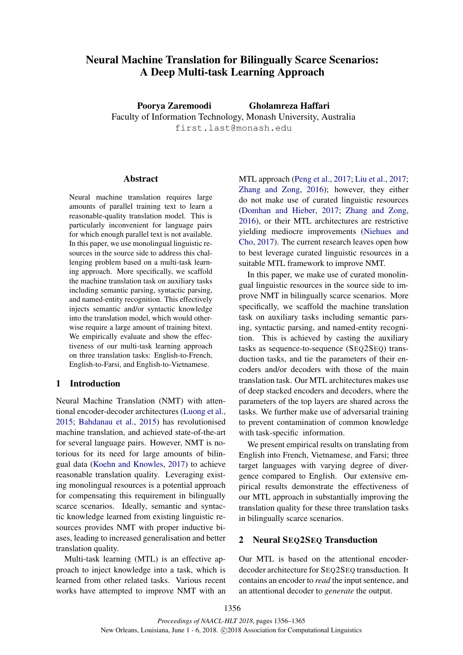# Neural Machine Translation for Bilingually Scarce Scenarios: A Deep Multi-task Learning Approach

Poorya Zaremoodi Gholamreza Haffari

Faculty of Information Technology, Monash University, Australia first.last@monash.edu

# Abstract

Neural machine translation requires large amounts of parallel training text to learn a reasonable-quality translation model. This is particularly inconvenient for language pairs for which enough parallel text is not available. In this paper, we use monolingual linguistic resources in the source side to address this challenging problem based on a multi-task learning approach. More specifically, we scaffold the machine translation task on auxiliary tasks including semantic parsing, syntactic parsing, and named-entity recognition. This effectively injects semantic and/or syntactic knowledge into the translation model, which would otherwise require a large amount of training bitext. We empirically evaluate and show the effectiveness of our multi-task learning approach on three translation tasks: English-to-French, English-to-Farsi, and English-to-Vietnamese.

# 1 Introduction

Neural Machine Translation (NMT) with attentional encoder-decoder architectures (Luong et al., 2015; Bahdanau et al., 2015) has revolutionised machine translation, and achieved state-of-the-art for several language pairs. However, NMT is notorious for its need for large amounts of bilingual data (Koehn and Knowles, 2017) to achieve reasonable translation quality. Leveraging existing monolingual resources is a potential approach for compensating this requirement in bilingually scarce scenarios. Ideally, semantic and syntactic knowledge learned from existing linguistic resources provides NMT with proper inductive biases, leading to increased generalisation and better translation quality.

Multi-task learning (MTL) is an effective approach to inject knowledge into a task, which is learned from other related tasks. Various recent works have attempted to improve NMT with an

MTL approach (Peng et al., 2017; Liu et al., 2017; Zhang and Zong, 2016); however, they either do not make use of curated linguistic resources (Domhan and Hieber, 2017; Zhang and Zong, 2016), or their MTL architectures are restrictive yielding mediocre improvements (Niehues and Cho, 2017). The current research leaves open how to best leverage curated linguistic resources in a suitable MTL framework to improve NMT.

In this paper, we make use of curated monolingual linguistic resources in the source side to improve NMT in bilingually scarce scenarios. More specifically, we scaffold the machine translation task on auxiliary tasks including semantic parsing, syntactic parsing, and named-entity recognition. This is achieved by casting the auxiliary tasks as sequence-to-sequence (SEQ2SEQ) transduction tasks, and tie the parameters of their encoders and/or decoders with those of the main translation task. Our MTL architectures makes use of deep stacked encoders and decoders, where the parameters of the top layers are shared across the tasks. We further make use of adversarial training to prevent contamination of common knowledge with task-specific information.

We present empirical results on translating from English into French, Vietnamese, and Farsi; three target languages with varying degree of divergence compared to English. Our extensive empirical results demonstrate the effectiveness of our MTL approach in substantially improving the translation quality for these three translation tasks in bilingually scarce scenarios.

# 2 Neural SEQ2SEQ Transduction

Our MTL is based on the attentional encoderdecoder architecture for SEQ2SEQ transduction. It contains an encoder to *read* the input sentence, and an attentional decoder to *generate* the output.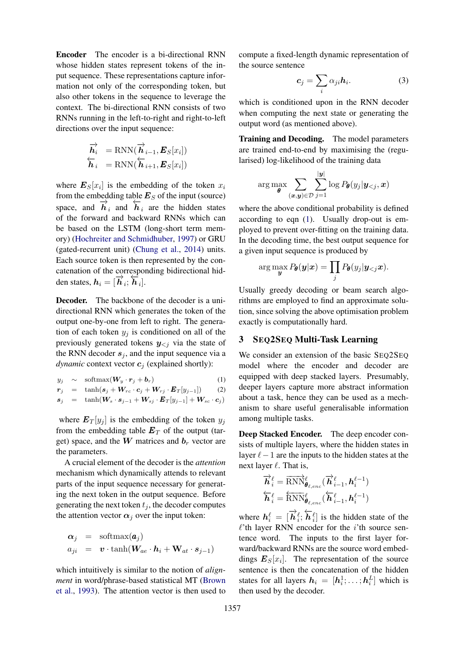Encoder The encoder is a bi-directional RNN whose hidden states represent tokens of the input sequence. These representations capture information not only of the corresponding token, but also other tokens in the sequence to leverage the context. The bi-directional RNN consists of two RNNs running in the left-to-right and right-to-left directions over the input sequence:

$$
\overrightarrow{\boldsymbol{h}_i} = \text{RNN}(\overrightarrow{\boldsymbol{h}}_{i-1}, \boldsymbol{E}_S[x_i])
$$
  

$$
\overleftarrow{\boldsymbol{h}}_i = \text{RNN}(\overleftarrow{\boldsymbol{h}}_{i+1}, \boldsymbol{E}_S[x_i])
$$

where  $\mathbf{E}_{S}[x_i]$  is the embedding of the token  $x_i$ from the embedding table  $\mathbf{E}_S$  of the input (source) space, and  $\overrightarrow{h}_i$  and  $\overleftarrow{h}_i$  are the hidden states of the forward and backward RNNs which can be based on the LSTM (long-short term memory) (Hochreiter and Schmidhuber, 1997) or GRU (gated-recurrent unit) (Chung et al., 2014) units. Each source token is then represented by the concatenation of the corresponding bidirectional hidden states,  $h_i = [\overrightarrow{h}_i; \overleftarrow{h}_i].$ 

Decoder. The backbone of the decoder is a unidirectional RNN which generates the token of the output one-by-one from left to right. The generation of each token  $y_i$  is conditioned on all of the previously generated tokens  $y_{\leq j}$  via the state of the RNN decoder  $s_i$ , and the input sequence via a *dynamic* context vector  $c_j$  (explained shortly):

$$
y_j \sim \operatorname{softmax}(\boldsymbol{W}_y \cdot \boldsymbol{r}_j + \boldsymbol{b}_r) \tag{1}
$$

$$
\begin{array}{rcl}\n\mathbf{r}_j & = & \tanh(\mathbf{s}_j + \mathbf{W}_{rc} \cdot \mathbf{c}_j + \mathbf{W}_{rj} \cdot \mathbf{E}_T[y_{j-1}]) \tag{2} \\
\mathbf{s}_j & = & \tanh(\mathbf{W}_s \cdot \mathbf{s}_{j-1} + \mathbf{W}_{sj} \cdot \mathbf{E}_T[y_{j-1}] + \mathbf{W}_{sc} \cdot \mathbf{c}_j)\n\end{array}
$$

where  $E_T[y_i]$  is the embedding of the token  $y_i$ from the embedding table  $E_T$  of the output (target) space, and the  $W$  matrices and  $b_r$  vector are the parameters.

A crucial element of the decoder is the *attention* mechanism which dynamically attends to relevant parts of the input sequence necessary for generating the next token in the output sequence. Before generating the next token  $t_i$ , the decoder computes the attention vector  $\alpha_i$  over the input token:

$$
\begin{array}{rcl}\n\alpha_j & = & \text{softmax}(\boldsymbol{a}_j) \\
a_{ji} & = & \boldsymbol{v} \cdot \tanh(\boldsymbol{W}_{ae} \cdot \boldsymbol{h}_i + \mathbf{W}_{at} \cdot \boldsymbol{s}_{j-1})\n\end{array}
$$

which intuitively is similar to the notion of *alignment* in word/phrase-based statistical MT (Brown et al., 1993). The attention vector is then used to

compute a fixed-length dynamic representation of the source sentence

$$
c_j = \sum_i \alpha_{ji} h_i. \tag{3}
$$

which is conditioned upon in the RNN decoder when computing the next state or generating the output word (as mentioned above).

Training and Decoding. The model parameters are trained end-to-end by maximising the (regularised) log-likelihood of the training data

$$
\arg \max_{\boldsymbol{\theta}} \sum_{(\boldsymbol{x}, \boldsymbol{y}) \in \mathcal{D}} \sum_{j=1}^{|\boldsymbol{y}|} \log P_{\boldsymbol{\theta}}(y_j | \boldsymbol{y}_{< j}, \boldsymbol{x})
$$

where the above conditional probability is defined according to eqn (1). Usually drop-out is employed to prevent over-fitting on the training data. In the decoding time, the best output sequence for a given input sequence is produced by

$$
\arg\max_{\boldsymbol{y}} P_{\boldsymbol{\theta}}(\boldsymbol{y}|\boldsymbol{x}) = \prod_j P_{\boldsymbol{\theta}}(y_j|\boldsymbol{y}_{< j}\boldsymbol{x}).
$$

Usually greedy decoding or beam search algorithms are employed to find an approximate solution, since solving the above optimisation problem exactly is computationally hard.

# 3 SEQ2SEQ Multi-Task Learning

We consider an extension of the basic SEQ2SEQ model where the encoder and decoder are equipped with deep stacked layers. Presumably, deeper layers capture more abstract information about a task, hence they can be used as a mechanism to share useful generalisable information among multiple tasks.

Deep Stacked Encoder. The deep encoder consists of multiple layers, where the hidden states in layer  $\ell-1$  are the inputs to the hidden states at the next layer  $\ell$ . That is,

$$
\overrightarrow{\boldsymbol{h}}_{i}^{\ell} = \overrightarrow{\textrm{RNN}}_{\boldsymbol{\theta}_{\ell,enc}}^{\ell}(\overrightarrow{\boldsymbol{h}}_{i-1}^{\ell}, \boldsymbol{h}_{i}^{\ell-1})
$$
\n
$$
\overleftarrow{\boldsymbol{h}}_{i}^{\ell} = \overleftarrow{\textrm{RNN}}_{\boldsymbol{\theta}_{\ell,enc}}^{\ell}(\overleftarrow{\boldsymbol{h}}_{i-1}^{\ell}, \boldsymbol{h}_{i}^{\ell-1})
$$

where  $h_i^{\ell} = [\overrightarrow{h}_i^{\ell}; \overleftarrow{h}_i^{\ell}]$  is the hidden state of the  $\ell$ 'th layer RNN encoder for the i'th source sentence word. The inputs to the first layer forward/backward RNNs are the source word embeddings  $E_S[x_i]$ . The representation of the source sentence is then the concatenation of the hidden states for all layers  $h_i = [h_i^1; \dots; h_i^L]$  which is then used by the decoder.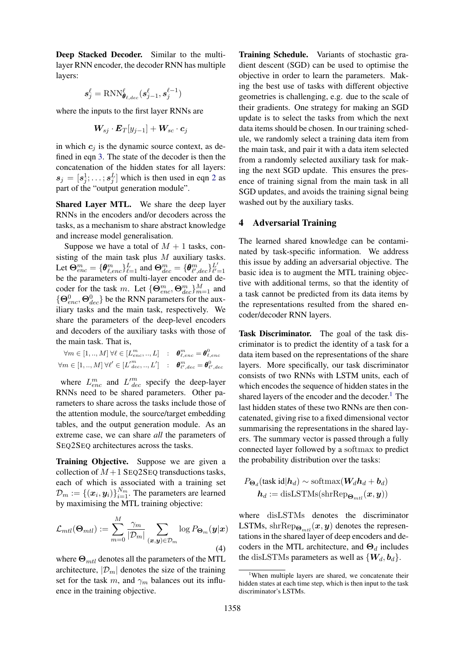Deep Stacked Decoder. Similar to the multilayer RNN encoder, the decoder RNN has multiple layers:

$$
\boldsymbol{s}^{\ell}_j = \text{RNN}^{\ell}_{\boldsymbol{\theta}_{\ell,dec}}(\boldsymbol{s}^{\ell}_{j-1}, \boldsymbol{s}^{\ell-1}_{j})
$$

where the inputs to the first layer RNNs are

$$
\boldsymbol{W_{sj}}\cdot\boldsymbol{E}_{T}[y_{j-1}]+\boldsymbol{W_{sc}}\cdot\boldsymbol{c}_{j}
$$

in which  $c_j$  is the dynamic source context, as defined in eqn 3. The state of the decoder is then the concatenation of the hidden states for all layers:  $s_j = [s_j^1; \dots; s_j^L]$  which is then used in eqn 2 as part of the "output generation module".

Shared Layer MTL. We share the deep layer RNNs in the encoders and/or decoders across the tasks, as a mechanism to share abstract knowledge and increase model generalisation.

Suppose we have a total of  $M + 1$  tasks, consisting of the main task plus  $M$  auxiliary tasks. Let  $\Theta_{enc}^m = \{\theta_{\ell,enc}^m\}_{\ell=1}^L$  and  $\Theta_{dec}^m = \{\theta_{\ell',dec}^m\}_{\ell'=1}^{L'}$ be the parameters of multi-layer encoder and decoder for the task m. Let  $\{\Theta_{enc}^m, \Theta_{dec}^m\}_{m=1}^M$  and  $\{\Theta_{enc}^0, \Theta_{dec}^0\}$  be the RNN parameters for the auxiliary tasks and the main task, respectively. We share the parameters of the deep-level encoders and decoders of the auxiliary tasks with those of the main task. That is,

$$
\forall m \in [1,..,M] \; \forall \ell \in [L_{enc}^m,..,L] \quad : \quad \boldsymbol{\theta}_{\ell,enc}^m = \boldsymbol{\theta}_{\ell,enc}^0
$$
  

$$
\forall m \in [1,..,M] \; \forall \ell' \in [L_{dec}^m,..,L'] \quad : \quad \boldsymbol{\theta}_{\ell',dec}^m = \boldsymbol{\theta}_{\ell',dec}^0
$$

where  $L_{enc}^{m}$  and  $L_{dec}^{m}$  specify the deep-layer RNNs need to be shared parameters. Other parameters to share across the tasks include those of the attention module, the source/target embedding tables, and the output generation module. As an extreme case, we can share *all* the parameters of SEQ2SEQ architectures across the tasks.

Training Objective. Suppose we are given a collection of  $M+1$  SEQ2SEQ transductions tasks, each of which is associated with a training set  $\mathcal{D}_m := \{(\boldsymbol{x}_i, \boldsymbol{y}_i)\}_{i=1}^{N_m}$ . The parameters are learned by maximising the MTL training objective:

$$
\mathcal{L}_{mtl}(\mathbf{\Theta}_{mtl}) := \sum_{m=0}^{M} \frac{\gamma_m}{|\mathcal{D}_m|} \sum_{(\boldsymbol{x}, \boldsymbol{y}) \in \mathcal{D}_m} \log P_{\mathbf{\Theta}_m}(\boldsymbol{y}|\boldsymbol{x})
$$
\n(4)

where  $\Theta_{mtl}$  denotes all the parameters of the MTL architecture,  $|\mathcal{D}_m|$  denotes the size of the training set for the task m, and  $\gamma_m$  balances out its influence in the training objective.

Training Schedule. Variants of stochastic gradient descent (SGD) can be used to optimise the objective in order to learn the parameters. Making the best use of tasks with different objective geometries is challenging, e.g. due to the scale of their gradients. One strategy for making an SGD update is to select the tasks from which the next data items should be chosen. In our training schedule, we randomly select a training data item from the main task, and pair it with a data item selected from a randomly selected auxiliary task for making the next SGD update. This ensures the presence of training signal from the main task in all SGD updates, and avoids the training signal being washed out by the auxiliary tasks.

# 4 Adversarial Training

The learned shared knowledge can be contaminated by task-specific information. We address this issue by adding an adversarial objective. The basic idea is to augment the MTL training objective with additional terms, so that the identity of a task cannot be predicted from its data items by the representations resulted from the shared encoder/decoder RNN layers.

Task Discriminator. The goal of the task discriminator is to predict the identity of a task for a data item based on the representations of the share layers. More specifically, our task discriminator consists of two RNNs with LSTM units, each of which encodes the sequence of hidden states in the shared layers of the encoder and the decoder.<sup>1</sup> The last hidden states of these two RNNs are then concatenated, giving rise to a fixed dimensional vector summarising the representations in the shared layers. The summary vector is passed through a fully connected layer followed by a softmax to predict the probability distribution over the tasks:

$$
P_{\mathbf{\Theta}_d}(\text{task id}|\mathbf{h}_d) \sim \text{softmax}(\mathbf{W}_d \mathbf{h}_d + \mathbf{b}_d)
$$

$$
\mathbf{h}_d := \text{disLSTMs}(\text{shrRep}_{\mathbf{\Theta}_{ml}}(\mathbf{x}, \mathbf{y}))
$$

where disLSTMs denotes the discriminator LSTMs, shr $\text{Rep}_{\Theta_{mtl}}(\boldsymbol{x}, \boldsymbol{y})$  denotes the representations in the shared layer of deep encoders and decoders in the MTL architecture, and  $\Theta_d$  includes the disLSTMs parameters as well as  $\{W_d, b_d\}.$ 

<sup>&</sup>lt;sup>1</sup>When multiple layers are shared, we concatenate their hidden states at each time step, which is then input to the task discriminator's LSTMs.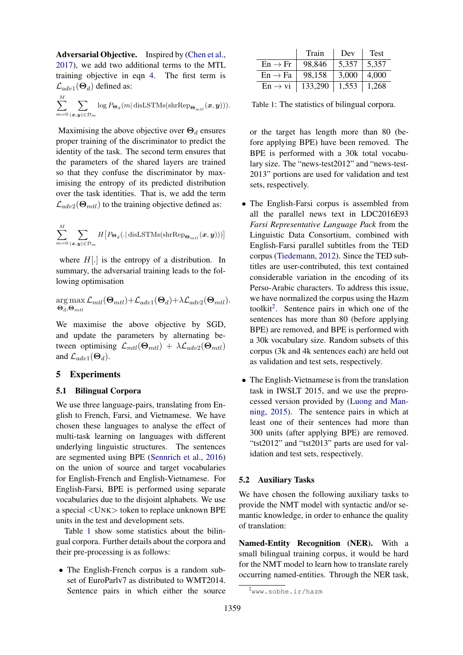Adversarial Objective. Inspired by (Chen et al., 2017), we add two additional terms to the MTL training objective in eqn 4. The first term is  $\mathcal{L}_{adv1}(\Theta_d)$  defined as:

$$
\sum_{m=0}^{M} \sum_{(\boldsymbol{x}, \boldsymbol{y}) \in \mathcal{D}_m} \log P_{\boldsymbol{\Theta}_d}(m \vert \text{ disLSTMs}(\text{shrRep}_{\boldsymbol{\Theta}_{mtl}}(\boldsymbol{x}, \boldsymbol{y}))).
$$

Maximising the above objective over  $\Theta_d$  ensures proper training of the discriminator to predict the identity of the task. The second term ensures that the parameters of the shared layers are trained so that they confuse the discriminator by maximising the entropy of its predicted distribution over the task identities. That is, we add the term  $\mathcal{L}_{adv2}(\Theta_{mtl})$  to the training objective defined as:

$$
\sum_{m=0}^{M}\sum_{(\bm{x},\bm{y})\in {\cal D}_m}H\big[P_{\bm{\Theta}_d}(.\vert\operatorname{disLSTMs}(\operatorname{shrRep}_{\bm{\Theta}_{mtl}}(\bm{x},\bm{y}))\big)\big]
$$

where  $H[.]$  is the entropy of a distribution. In summary, the adversarial training leads to the following optimisation

$$
\arg\max_{\mathbf{\Theta}_{at},\mathbf{\Theta}_{mtl}} \mathcal{L}_{mtl}(\mathbf{\Theta}_{mtl}) + \mathcal{L}_{adv1}(\mathbf{\Theta}_{d}) + \lambda \mathcal{L}_{adv2}(\mathbf{\Theta}_{mtl}).
$$

We maximise the above objective by SGD, and update the parameters by alternating between optimising  $\mathcal{L}_{mtl}(\Theta_{mtl}) + \lambda \mathcal{L}_{adv2}(\Theta_{mtl})$ and  $\mathcal{L}_{adv1}(\Theta_d)$ .

# 5 Experiments

#### 5.1 Bilingual Corpora

We use three language-pairs, translating from English to French, Farsi, and Vietnamese. We have chosen these languages to analyse the effect of multi-task learning on languages with different underlying linguistic structures. The sentences are segmented using BPE (Sennrich et al., 2016) on the union of source and target vocabularies for English-French and English-Vietnamese. For English-Farsi, BPE is performed using separate vocabularies due to the disjoint alphabets. We use a special <UNK> token to replace unknown BPE units in the test and development sets.

Table 1 show some statistics about the bilingual corpora. Further details about the corpora and their pre-processing is as follows:

• The English-French corpus is a random subset of EuroParlv7 as distributed to WMT2014. Sentence pairs in which either the source

|                     | Train     | Dev   | Test  |
|---------------------|-----------|-------|-------|
| $En \rightarrow Fr$ | 98,846    | 5.357 | 5.357 |
| $En \rightarrow Fa$ | 98,158    | 3,000 | 4.000 |
| $En \rightarrow vi$ | $133,290$ | 1,553 | 1,268 |

Table 1: The statistics of bilingual corpora.

or the target has length more than 80 (before applying BPE) have been removed. The BPE is performed with a 30k total vocabulary size. The "news-test2012" and "news-test-2013" portions are used for validation and test sets, respectively.

- The English-Farsi corpus is assembled from all the parallel news text in LDC2016E93 *Farsi Representative Language Pack* from the Linguistic Data Consortium, combined with English-Farsi parallel subtitles from the TED corpus (Tiedemann, 2012). Since the TED subtitles are user-contributed, this text contained considerable variation in the encoding of its Perso-Arabic characters. To address this issue, we have normalized the corpus using the Hazm toolkit<sup>2</sup>. Sentence pairs in which one of the sentences has more than 80 (before applying BPE) are removed, and BPE is performed with a 30k vocabulary size. Random subsets of this corpus (3k and 4k sentences each) are held out as validation and test sets, respectively.
- The English-Vietnamese is from the translation task in IWSLT 2015, and we use the preprocessed version provided by (Luong and Manning, 2015). The sentence pairs in which at least one of their sentences had more than 300 units (after applying BPE) are removed. "tst2012" and "tst2013" parts are used for validation and test sets, respectively.

#### 5.2 Auxiliary Tasks

We have chosen the following auxiliary tasks to provide the NMT model with syntactic and/or semantic knowledge, in order to enhance the quality of translation:

Named-Entity Recognition (NER). With a small bilingual training corpus, it would be hard for the NMT model to learn how to translate rarely occurring named-entities. Through the NER task,

<sup>&</sup>lt;sup>2</sup>www.sobhe.ir/hazm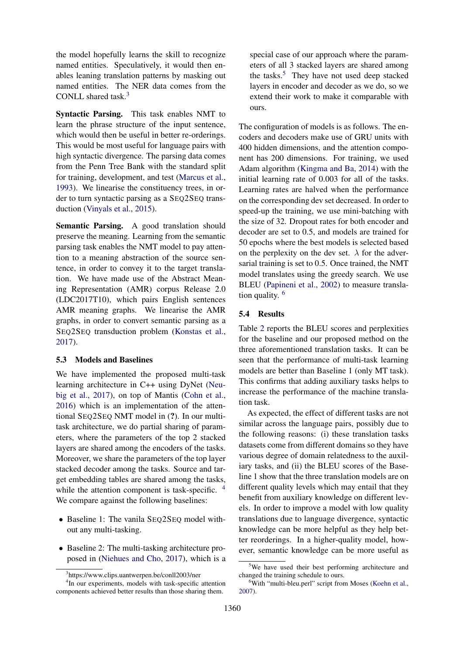the model hopefully learns the skill to recognize named entities. Speculatively, it would then enables leaning translation patterns by masking out named entities. The NER data comes from the CONLL shared task.<sup>3</sup>

Syntactic Parsing. This task enables NMT to learn the phrase structure of the input sentence, which would then be useful in better re-orderings. This would be most useful for language pairs with high syntactic divergence. The parsing data comes from the Penn Tree Bank with the standard split for training, development, and test (Marcus et al., 1993). We linearise the constituency trees, in order to turn syntactic parsing as a SEQ2SEQ transduction (Vinyals et al., 2015).

Semantic Parsing. A good translation should preserve the meaning. Learning from the semantic parsing task enables the NMT model to pay attention to a meaning abstraction of the source sentence, in order to convey it to the target translation. We have made use of the Abstract Meaning Representation (AMR) corpus Release 2.0 (LDC2017T10), which pairs English sentences AMR meaning graphs. We linearise the AMR graphs, in order to convert semantic parsing as a SEQ2SEQ transduction problem (Konstas et al., 2017).

# 5.3 Models and Baselines

We have implemented the proposed multi-task learning architecture in C++ using DyNet (Neubig et al., 2017), on top of Mantis (Cohn et al., 2016) which is an implementation of the attentional SEQ2SEQ NMT model in (?). In our multitask architecture, we do partial sharing of parameters, where the parameters of the top 2 stacked layers are shared among the encoders of the tasks. Moreover, we share the parameters of the top layer stacked decoder among the tasks. Source and target embedding tables are shared among the tasks, while the attention component is task-specific. <sup>4</sup> We compare against the following baselines:

- Baseline 1: The vanila SEQ2SEQ model without any multi-tasking.
- Baseline 2: The multi-tasking architecture proposed in (Niehues and Cho, 2017), which is a

special case of our approach where the parameters of all 3 stacked layers are shared among the tasks.<sup>5</sup> They have not used deep stacked layers in encoder and decoder as we do, so we extend their work to make it comparable with ours.

The configuration of models is as follows. The encoders and decoders make use of GRU units with 400 hidden dimensions, and the attention component has 200 dimensions. For training, we used Adam algorithm (Kingma and Ba, 2014) with the initial learning rate of 0.003 for all of the tasks. Learning rates are halved when the performance on the corresponding dev set decreased. In order to speed-up the training, we use mini-batching with the size of 32. Dropout rates for both encoder and decoder are set to 0.5, and models are trained for 50 epochs where the best models is selected based on the perplexity on the dev set.  $\lambda$  for the adversarial training is set to 0.5. Once trained, the NMT model translates using the greedy search. We use BLEU (Papineni et al., 2002) to measure translation quality. <sup>6</sup>

# 5.4 Results

Table 2 reports the BLEU scores and perplexities for the baseline and our proposed method on the three aforementioned translation tasks. It can be seen that the performance of multi-task learning models are better than Baseline 1 (only MT task). This confirms that adding auxiliary tasks helps to increase the performance of the machine translation task.

As expected, the effect of different tasks are not similar across the language pairs, possibly due to the following reasons: (i) these translation tasks datasets come from different domains so they have various degree of domain relatedness to the auxiliary tasks, and (ii) the BLEU scores of the Baseline 1 show that the three translation models are on different quality levels which may entail that they benefit from auxiliary knowledge on different levels. In order to improve a model with low quality translations due to language divergence, syntactic knowledge can be more helpful as they help better reorderings. In a higher-quality model, however, semantic knowledge can be more useful as

<sup>3</sup> https://www.clips.uantwerpen.be/conll2003/ner

<sup>4</sup> In our experiments, models with task-specific attention components achieved better results than those sharing them.

<sup>&</sup>lt;sup>5</sup>We have used their best performing architecture and changed the training schedule to ours.

<sup>&</sup>lt;sup>6</sup>With "multi-bleu.perl" script from Moses (Koehn et al., 2007).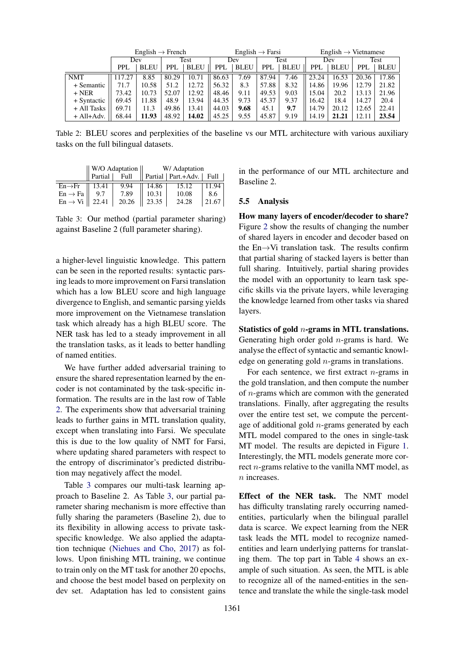|             | English $\rightarrow$ French |             | $English \rightarrow Farsi$ |             |            | English $\rightarrow$ Vietnamese |             |             |            |             |            |       |
|-------------|------------------------------|-------------|-----------------------------|-------------|------------|----------------------------------|-------------|-------------|------------|-------------|------------|-------|
|             | Dev                          |             | Test                        |             | Dev        |                                  | <b>Test</b> |             | Dev        |             | Test       |       |
|             | PPL                          | <b>BLEU</b> | PPI.                        | <b>BLEU</b> | <b>PPL</b> | <b>BLEU</b>                      | <b>PPL</b>  | <b>BLEU</b> | <b>PPL</b> | <b>BLEU</b> | <b>PPL</b> | BLEU  |
| <b>NMT</b>  | 17.27                        | 8.85        | 80.29                       | 10.71       | 86.63      | 7.69                             | 87.94       | 7.46        | 23.24      | 16.53       | 20.36      | 17.86 |
| + Semantic  | 71.7                         | 10.58       | 51.2                        | 12.72       | 56.32      | 8.3                              | 57.88       | 8.32        | 14.86      | 19.96       | 12.79      | 21.82 |
| $+$ NER     | 73.42                        | 10.73       | 52.07                       | 12.92       | 48.46      | 9.11                             | 49.53       | 9.03        | 15.04      | 20.2        | 13.13      | 21.96 |
| + Syntactic | 69.45                        | 11.88       | 48.9                        | 13.94       | 44.35      | 9.73                             | 45.37       | 9.37        | 16.42      | 18.4        | 14.27      | 20.4  |
| + All Tasks | 69.71                        | 11.3        | 49.86                       | 13.41       | 44.03      | 9.68                             | 45.1        | 9.7         | 14.79      | 20.12       | 12.65      | 22.41 |
| $+All+Adv.$ | 68.44                        | 11.93       | 48.92                       | 14.02       | 45.25      | 9.55                             | 45.87       | 9.19        | 14.19      | 21.21       | 12.11      | 23.54 |

Table 2: BLEU scores and perplexities of the baseline vs our MTL architecture with various auxiliary tasks on the full bilingual datasets.

|                     |         | W/O Adaptation | W/ Adaptation |                             |       |  |
|---------------------|---------|----------------|---------------|-----------------------------|-------|--|
|                     | Partial | Full           |               | Partial   Part.+Adv.   Full |       |  |
| $En \rightarrow Fr$ | 13.41   | 9.94           | 14.86         | 15.12                       | 11.94 |  |
| $En \rightarrow Fa$ |         | 7.89           | 10.31         | 10.08                       | 8.6   |  |
| $En \rightarrow Vi$ | 22.41   | 20.26          | 23.35         | 24.28                       | 21.67 |  |

Table 3: Our method (partial parameter sharing) against Baseline 2 (full parameter sharing).

a higher-level linguistic knowledge. This pattern can be seen in the reported results: syntactic parsing leads to more improvement on Farsi translation which has a low BLEU score and high language divergence to English, and semantic parsing yields more improvement on the Vietnamese translation task which already has a high BLEU score. The NER task has led to a steady improvement in all the translation tasks, as it leads to better handling of named entities.

We have further added adversarial training to ensure the shared representation learned by the encoder is not contaminated by the task-specific information. The results are in the last row of Table 2. The experiments show that adversarial training leads to further gains in MTL translation quality, except when translating into Farsi. We speculate this is due to the low quality of NMT for Farsi, where updating shared parameters with respect to the entropy of discriminator's predicted distribution may negatively affect the model.

Table 3 compares our multi-task learning approach to Baseline 2. As Table 3, our partial parameter sharing mechanism is more effective than fully sharing the parameters (Baseline 2), due to its flexibility in allowing access to private taskspecific knowledge. We also applied the adaptation technique (Niehues and Cho, 2017) as follows. Upon finishing MTL training, we continue to train only on the MT task for another 20 epochs, and choose the best model based on perplexity on dev set. Adaptation has led to consistent gains

in the performance of our MTL architecture and Baseline 2.

# 5.5 Analysis

How many layers of encoder/decoder to share? Figure 2 show the results of changing the number of shared layers in encoder and decoder based on the En $\rightarrow$ Vi translation task. The results confirm that partial sharing of stacked layers is better than full sharing. Intuitively, partial sharing provides the model with an opportunity to learn task specific skills via the private layers, while leveraging the knowledge learned from other tasks via shared layers.

Statistics of gold n-grams in MTL translations. Generating high order gold  $n$ -grams is hard. We analyse the effect of syntactic and semantic knowledge on generating gold n-grams in translations.

For each sentence, we first extract  $n$ -grams in the gold translation, and then compute the number of n-grams which are common with the generated translations. Finally, after aggregating the results over the entire test set, we compute the percentage of additional gold  $n$ -grams generated by each MTL model compared to the ones in single-task MT model. The results are depicted in Figure 1. Interestingly, the MTL models generate more correct  $n$ -grams relative to the vanilla NMT model, as n increases.

Effect of the NER task. The NMT model has difficulty translating rarely occurring namedentities, particularly when the bilingual parallel data is scarce. We expect learning from the NER task leads the MTL model to recognize namedentities and learn underlying patterns for translating them. The top part in Table 4 shows an example of such situation. As seen, the MTL is able to recognize all of the named-entities in the sentence and translate the while the single-task model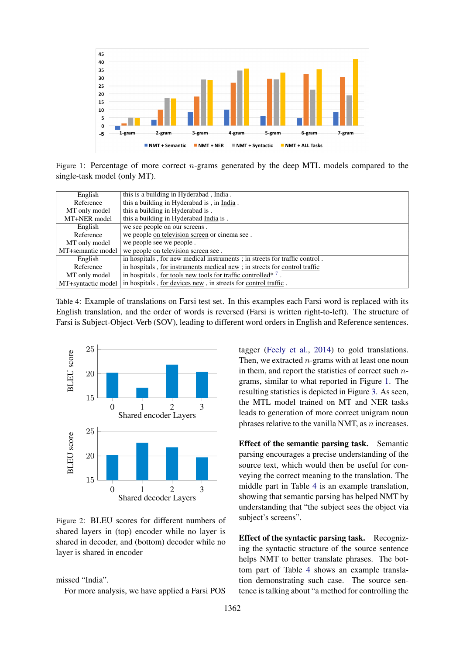

Figure 1: Percentage of more correct  $n$ -grams generated by the deep MTL models compared to the single-task model (only MT).

| English            | this is a building in Hyderabad, India.                                    |
|--------------------|----------------------------------------------------------------------------|
| Reference          | this a building in Hyderabad is, in India.                                 |
| MT only model      | this a building in Hyderabad is.                                           |
| MT+NER model       | this a building in Hyderabad India is.                                     |
| English            | we see people on our screens.                                              |
| Reference          | we people on television screen or cinema see.                              |
| MT only model      | we people see we people.                                                   |
| MT+semantic model  | we people on television screen see.                                        |
| English            | in hospitals, for new medical instruments; in streets for traffic control. |
| Reference          | in hospitals, for instruments medical new; in streets for control traffic  |
| MT only model      | in hospitals, for tools new tools for traffic controlled* <sup>7</sup>     |
| MT+syntactic model | in hospitals, for devices new, in streets for control traffic.             |

Table 4: Example of translations on Farsi test set. In this examples each Farsi word is replaced with its English translation, and the order of words is reversed (Farsi is written right-to-left). The structure of Farsi is Subject-Object-Verb (SOV), leading to different word orders in English and Reference sentences.



Figure 2: BLEU scores for different numbers of shared layers in (top) encoder while no layer is shared in decoder, and (bottom) decoder while no layer is shared in encoder

missed "India".

For more analysis, we have applied a Farsi POS

tagger (Feely et al., 2014) to gold translations. Then, we extracted  $n$ -grams with at least one noun in them, and report the statistics of correct such  $n$ grams, similar to what reported in Figure 1. The resulting statistics is depicted in Figure 3. As seen, the MTL model trained on MT and NER tasks leads to generation of more correct unigram noun phrases relative to the vanilla NMT, as  $n$  increases.

Effect of the semantic parsing task. Semantic parsing encourages a precise understanding of the source text, which would then be useful for conveying the correct meaning to the translation. The middle part in Table 4 is an example translation, showing that semantic parsing has helped NMT by understanding that "the subject sees the object via subject's screens".

Effect of the syntactic parsing task. Recognizing the syntactic structure of the source sentence helps NMT to better translate phrases. The bottom part of Table 4 shows an example translation demonstrating such case. The source sentence is talking about "a method for controlling the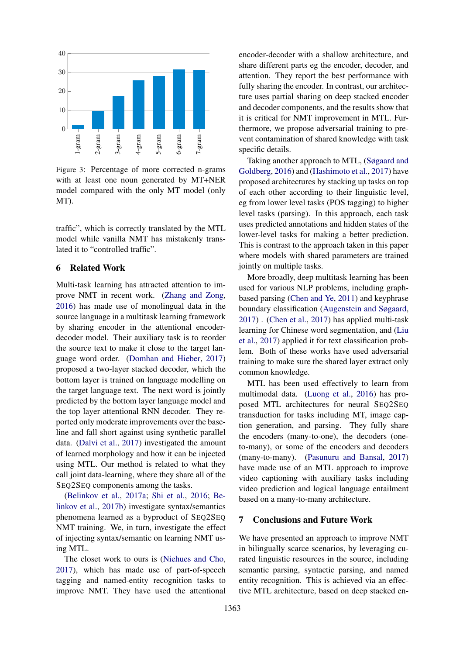

Figure 3: Percentage of more corrected n-grams with at least one noun generated by MT+NER model compared with the only MT model (only MT).

traffic", which is correctly translated by the MTL model while vanilla NMT has mistakenly translated it to "controlled traffic".

# 6 Related Work

Multi-task learning has attracted attention to improve NMT in recent work. (Zhang and Zong, 2016) has made use of monolingual data in the source language in a multitask learning framework by sharing encoder in the attentional encoderdecoder model. Their auxiliary task is to reorder the source text to make it close to the target language word order. (Domhan and Hieber, 2017) proposed a two-layer stacked decoder, which the bottom layer is trained on language modelling on the target language text. The next word is jointly predicted by the bottom layer language model and the top layer attentional RNN decoder. They reported only moderate improvements over the baseline and fall short against using synthetic parallel data. (Dalvi et al., 2017) investigated the amount of learned morphology and how it can be injected using MTL. Our method is related to what they call joint data-learning, where they share all of the SEQ2SEQ components among the tasks.

(Belinkov et al., 2017a; Shi et al., 2016; Belinkov et al., 2017b) investigate syntax/semantics phenomena learned as a byproduct of SEQ2SEQ NMT training. We, in turn, investigate the effect of injecting syntax/semantic on learning NMT using MTL.

The closet work to ours is (Niehues and Cho, 2017), which has made use of part-of-speech tagging and named-entity recognition tasks to improve NMT. They have used the attentional

encoder-decoder with a shallow architecture, and share different parts eg the encoder, decoder, and attention. They report the best performance with fully sharing the encoder. In contrast, our architecture uses partial sharing on deep stacked encoder and decoder components, and the results show that it is critical for NMT improvement in MTL. Furthermore, we propose adversarial training to prevent contamination of shared knowledge with task specific details.

Taking another approach to MTL, (Søgaard and Goldberg, 2016) and (Hashimoto et al., 2017) have proposed architectures by stacking up tasks on top of each other according to their linguistic level, eg from lower level tasks (POS tagging) to higher level tasks (parsing). In this approach, each task uses predicted annotations and hidden states of the lower-level tasks for making a better prediction. This is contrast to the approach taken in this paper where models with shared parameters are trained jointly on multiple tasks.

More broadly, deep multitask learning has been used for various NLP problems, including graphbased parsing (Chen and Ye, 2011) and keyphrase boundary classification (Augenstein and Søgaard, 2017) . (Chen et al., 2017) has applied multi-task learning for Chinese word segmentation, and (Liu et al., 2017) applied it for text classification problem. Both of these works have used adversarial training to make sure the shared layer extract only common knowledge.

MTL has been used effectively to learn from multimodal data. (Luong et al., 2016) has proposed MTL architectures for neural SEQ2SEQ transduction for tasks including MT, image caption generation, and parsing. They fully share the encoders (many-to-one), the decoders (oneto-many), or some of the encoders and decoders (many-to-many). (Pasunuru and Bansal, 2017) have made use of an MTL approach to improve video captioning with auxiliary tasks including video prediction and logical language entailment based on a many-to-many architecture.

# 7 Conclusions and Future Work

We have presented an approach to improve NMT in bilingually scarce scenarios, by leveraging curated linguistic resources in the source, including semantic parsing, syntactic parsing, and named entity recognition. This is achieved via an effective MTL architecture, based on deep stacked en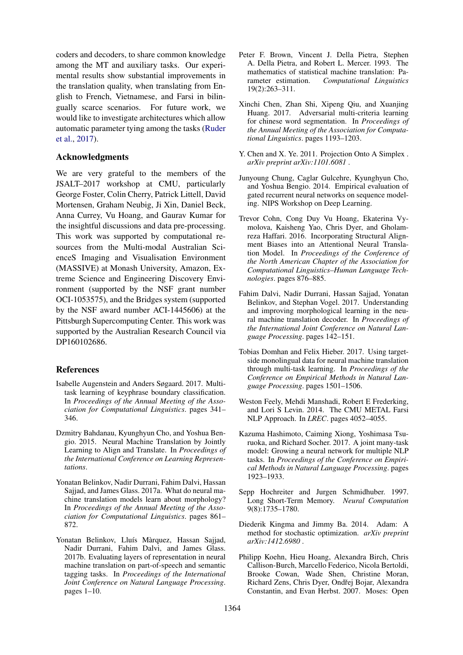coders and decoders, to share common knowledge among the MT and auxiliary tasks. Our experimental results show substantial improvements in the translation quality, when translating from English to French, Vietnamese, and Farsi in bilingually scarce scenarios. For future work, we would like to investigate architectures which allow automatic parameter tying among the tasks (Ruder et al., 2017).

# Acknowledgments

We are very grateful to the members of the JSALT–2017 workshop at CMU, particularly George Foster, Colin Cherry, Patrick Littell, David Mortensen, Graham Neubig, Ji Xin, Daniel Beck, Anna Currey, Vu Hoang, and Gaurav Kumar for the insightful discussions and data pre-processing. This work was supported by computational resources from the Multi-modal Australian ScienceS Imaging and Visualisation Environment (MASSIVE) at Monash University, Amazon, Extreme Science and Engineering Discovery Environment (supported by the NSF grant number OCI-1053575), and the Bridges system (supported by the NSF award number ACI-1445606) at the Pittsburgh Supercomputing Center. This work was supported by the Australian Research Council via DP160102686.

# References

- Isabelle Augenstein and Anders Søgaard. 2017. Multitask learning of keyphrase boundary classification. In *Proceedings of the Annual Meeting of the Association for Computational Linguistics*. pages 341– 346.
- Dzmitry Bahdanau, Kyunghyun Cho, and Yoshua Bengio. 2015. Neural Machine Translation by Jointly Learning to Align and Translate. In *Proceedings of the International Conference on Learning Representations*.
- Yonatan Belinkov, Nadir Durrani, Fahim Dalvi, Hassan Sajjad, and James Glass. 2017a. What do neural machine translation models learn about morphology? In *Proceedings of the Annual Meeting of the Association for Computational Linguistics*. pages 861– 872.
- Yonatan Belinkov, Lluís Màrquez, Hassan Sajjad, Nadir Durrani, Fahim Dalvi, and James Glass. 2017b. Evaluating layers of representation in neural machine translation on part-of-speech and semantic tagging tasks. In *Proceedings of the International Joint Conference on Natural Language Processing*. pages 1–10.
- Peter F. Brown, Vincent J. Della Pietra, Stephen A. Della Pietra, and Robert L. Mercer. 1993. The mathematics of statistical machine translation: Parameter estimation. *Computational Linguistics* 19(2):263–311.
- Xinchi Chen, Zhan Shi, Xipeng Qiu, and Xuanjing Huang. 2017. Adversarial multi-criteria learning for chinese word segmentation. In *Proceedings of the Annual Meeting of the Association for Computational Linguistics*. pages 1193–1203.
- Y. Chen and X. Ye. 2011. Projection Onto A Simplex . *arXiv preprint arXiv:1101.6081* .
- Junyoung Chung, Caglar Gulcehre, Kyunghyun Cho, and Yoshua Bengio. 2014. Empirical evaluation of gated recurrent neural networks on sequence modeling. NIPS Workshop on Deep Learning.
- Trevor Cohn, Cong Duy Vu Hoang, Ekaterina Vymolova, Kaisheng Yao, Chris Dyer, and Gholamreza Haffari. 2016. Incorporating Structural Alignment Biases into an Attentional Neural Translation Model. In *Proceedings of the Conference of the North American Chapter of the Association for Computational Linguistics–Human Language Technologies*. pages 876–885.
- Fahim Dalvi, Nadir Durrani, Hassan Sajjad, Yonatan Belinkov, and Stephan Vogel. 2017. Understanding and improving morphological learning in the neural machine translation decoder. In *Proceedings of the International Joint Conference on Natural Language Processing*. pages 142–151.
- Tobias Domhan and Felix Hieber. 2017. Using targetside monolingual data for neural machine translation through multi-task learning. In *Proceedings of the Conference on Empirical Methods in Natural Language Processing*. pages 1501–1506.
- Weston Feely, Mehdi Manshadi, Robert E Frederking, and Lori S Levin. 2014. The CMU METAL Farsi NLP Approach. In *LREC*. pages 4052–4055.
- Kazuma Hashimoto, Caiming Xiong, Yoshimasa Tsuruoka, and Richard Socher. 2017. A joint many-task model: Growing a neural network for multiple NLP tasks. In *Proceedings of the Conference on Empirical Methods in Natural Language Processing*. pages 1923–1933.
- Sepp Hochreiter and Jurgen Schmidhuber. 1997. Long Short-Term Memory. *Neural Computation* 9(8):1735–1780.
- Diederik Kingma and Jimmy Ba. 2014. Adam: A method for stochastic optimization. *arXiv preprint arXiv:1412.6980* .
- Philipp Koehn, Hieu Hoang, Alexandra Birch, Chris Callison-Burch, Marcello Federico, Nicola Bertoldi, Brooke Cowan, Wade Shen, Christine Moran, Richard Zens, Chris Dyer, Ondřej Bojar, Alexandra Constantin, and Evan Herbst. 2007. Moses: Open